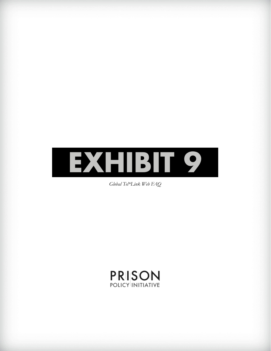

*Global Tel\*Link Web FAQ*

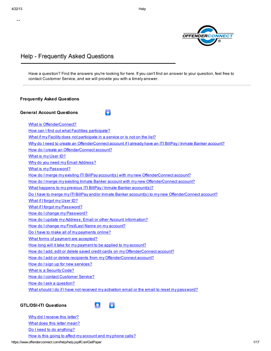--



# Help - Frequently Asked Questions

Have a question? Find the answers you're looking for here. If you can't find an answer to your question, feel free to contact Customer Service, and we will provide you with a timely answer.

| <b>General Account Questions</b>                                                                             |
|--------------------------------------------------------------------------------------------------------------|
| <b>What is OffenderConnect?</b>                                                                              |
| How can I find out what Facilities participate?                                                              |
| What if my Facility does not participate in a service or is not on the list?                                 |
| Why do I need to create an OffenderConnect account if I already have an ITI BillPay / Inmate Banker account? |
| How do I create an OffenderConnect account?                                                                  |
| What is my User ID?                                                                                          |
| Why do you need my Email Address?                                                                            |
| <b>What is my Password?</b>                                                                                  |
| How do I merge my existing ITI BillPay account(s) with my new OffenderConnect account?                       |
| How do I merge my existing Inmate Banker account with my new OffenderConnect account?                        |
| What happens to my previous ITI BillPay / Inmate Banker account(s)?                                          |
| Do I have to merge my ITI BillPay and/or Inmate Banker account(s) to my new OffenderConnect account?         |
| What if I forgot my User ID?                                                                                 |
| What if I forgot my Password?                                                                                |
| How do I change my Password?                                                                                 |
| How do I update my Address, Email or other Account information?                                              |
| How do I change my First/Last Name on my account?                                                            |
| Do I have to make all of my payments online?                                                                 |
| What forms of payment are accepted?                                                                          |
| How long will it take for my payment to be applied to my account?                                            |
| How do I add, edit or delete saved credit cards on my OffenderConnect account?                               |
| How do I add or delete recipients from my OffenderConnect account?                                           |
| How do I sign up for new services?                                                                           |
| <b>What is a Security Code?</b>                                                                              |
| How do I contact Customer Service?                                                                           |
| How do I ask a question?                                                                                     |
| What should I do if I have not received my activation email or the email to reset my password?               |

https://www.offenderconnect.com/help/help.jsp#CanIGetPaper 1/17 Why did I [receive](https://www.offenderconnect.com/help/help.jsp#whyreceiveletter) this letter? What does this letter [mean?](https://www.offenderconnect.com/help/help.jsp#Whatlettermean) Do I need to do [anything?](https://www.offenderconnect.com/help/help.jsp#Doanything) How is this going to affect my [account](https://www.offenderconnect.com/help/help.jsp#Howaffectme) and my phone calls?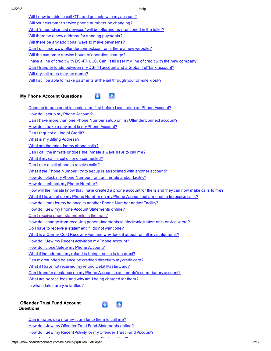| Will I now be able to call GTL and get help with my account?                                               |
|------------------------------------------------------------------------------------------------------------|
| Will your customer service phone numbers be changing?                                                      |
| What "other advanced services" will be offerend as mentioned in the letter?                                |
| Will there be a new address for sending payments?                                                          |
| Will there be any additional ways to make payments?                                                        |
| Can I still use www.offenderconnect.com or is there a new website?                                         |
| Will the customer service hours of operation change?                                                       |
| <u>I have a line of credit with DSI-ITI, LLC. Can I still user my line of credit with the new company?</u> |
| Can I transfer funds between my DSI-ITI account and a Global Tel*Link account?                             |
| Will my call rates stay the same?                                                                          |
| Will I still be able to make payments at the jail through your on-site kiosk?                              |
|                                                                                                            |

# **My Phone Account Questions**

 $\mathbf{A}$ N.

Does an inmate need to contact me first before I can setup an Phone [Account?](https://www.offenderconnect.com/help/help.jsp#InmateContactFirst) How do I setup my Phone Account? Can I have more than one Phone Number setup on my [OffenderConnect](https://www.offenderconnect.com/help/help.jsp#MoreThanOne) account? How do I make a payment to my Phone Account? Can I [request](https://www.offenderconnect.com/help/help.jsp#LineofCredit) a Line of Credit? What is my Billing [Address?](https://www.offenderconnect.com/help/help.jsp#BillingAddress) What are the rates for my [phone](https://www.offenderconnect.com/help/help.jsp#CallRates) calls? Can I call the [inmate](https://www.offenderconnect.com/help/help.jsp#CanICallInmate) or does the inmate always have to call me? What if my call is cut off or [disconnected?](https://www.offenderconnect.com/help/help.jsp#RequestCredit) Can I use a cell phone to [receive](https://www.offenderconnect.com/help/help.jsp#CellPhones) calls? What if the Phone Number I try to set up is [associated](https://www.offenderconnect.com/help/help.jsp#AssocPhone) with another account? How do I block my Phone Number from an inmate and/or facility? How do I unblock my Phone Number? How will the inmate know that I have created a phone [account](https://www.offenderconnect.com/help/help.jsp#HowwillTheyKnow) for them and they can now make calls to me? What if I have set up my Phone [Number](https://www.offenderconnect.com/help/help.jsp#SillcantGetCalls) on my Phone Account but am unable to receive calls? How do I transfer my balance to another Phone [Number](https://www.offenderconnect.com/help/help.jsp#Transfers) and/or Facility? How do I view my Phone Account [Statements](https://www.offenderconnect.com/help/help.jsp#ViewITIStatement) online? Can I receive paper [statements](https://www.offenderconnect.com/help/help.jsp#CanIGetPaper) in the mail? How do I change from receiving paper statements to electronic [statements](https://www.offenderconnect.com/help/help.jsp#ChangeStatements) or vice versa? Do I have to receive a [statement](https://www.offenderconnect.com/help/help.jsp#DoIhaveToGetStatement) if I do not want one? What is a Carrier Cost Recovery Fee and why does it appear on all my [statements?](https://www.offenderconnect.com/help/help.jsp#CarrierCost) How do I view my Recent Activity on my Phone Account? How do I [close/delete](https://www.offenderconnect.com/help/help.jsp#CloseAccount) my Phone Account? What if the address my refund is being sent to is [incorrect?](https://www.offenderconnect.com/help/help.jsp#AddressWrong) Can my [refunded](https://www.offenderconnect.com/help/help.jsp#NoRefundCheck) balance be credited directly to my credit card? What if I have not received my refund Debit [MasterCard?](https://www.offenderconnect.com/help/help.jsp#NoRefundCheckYet) Can I transfer a balance on my Phone Account to an inmate's [commissary](https://www.offenderconnect.com/help/help.jsp#TransferBalances) account? What are service fees and why am I being [charged](https://www.offenderconnect.com/help/help.jsp#SerFee) for them?

In what states are you [tariffed?](https://www.offenderconnect.com/help/help.jsp#Tariff)

#### **Offender Trust Fund Account Questions**



Can [inmates](https://www.offenderconnect.com/help/help.jsp#MoneytoCall) use money I transfer to them to call me? How do I view my Offender Trust Fund [Statements](https://www.offenderconnect.com/help/help.jsp#TransferViewStatements) online? How do I view my Recent Activity for my Offender Trust Fund [Account?](https://www.offenderconnect.com/help/help.jsp#RecentActivity) How do I add or remove inmates on my [Recipient](https://www.offenderconnect.com/help/help.jsp#RecipientList) List?

https://www.offenderconnect.com/help/help.jsp#CanIGetPaper 2017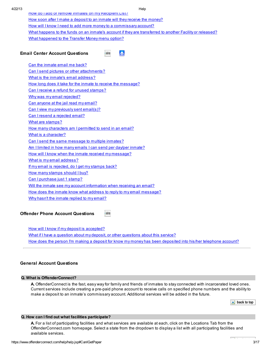How do I add or remove inmates on my [Recipient](https://www.offenderconnect.com/help/help.jsp#RecipientList) List? How soon after I make a deposit to an inmate will they receive the [money?](https://www.offenderconnect.com/help/help.jsp#WhenMOneyAvail) How will I know I need to add more money to a [commissary](https://www.offenderconnect.com/help/help.jsp#WhenAddMoney) account? What happens to the funds on an inmate's account if they are [transferred](https://www.offenderconnect.com/help/help.jsp#WhatHappens) to another Facility or released? What [happened](https://www.offenderconnect.com/help/help.jsp#NameChange) to the Transfer Money menu option?

### **Email Center Account Questions**

A bakibito A

- Can the [inmate](https://www.offenderconnect.com/help/help.jsp#emailback) email me back?
- Can I send pictures or other [attachments?](https://www.offenderconnect.com/help/help.jsp#sendpic)
- What is the inmate's email [address?](https://www.offenderconnect.com/help/inmaEmailaddr)
- How long does it take for the inmate to receive the [message?](https://www.offenderconnect.com/help/help.jsp#long2receive)
- Can I receive a refund for unused [stamps?](https://www.offenderconnect.com/help/help.jsp#refund4stamps)
- Why was my email [rejected?](https://www.offenderconnect.com/help/help.jsp#yemareject)
- Can [anyone](https://www.offenderconnect.com/help/help.jsp#anyoneRead) at the jail read my email? Can I view my [previously](https://www.offenderconnect.com/help/help.jsp#viewPrevSent) sent email(s)?
- Can I resend a [rejected](https://www.offenderconnect.com/help/help.jsp#resenReject) email?
- What are [stamps?](https://www.offenderconnect.com/help/help.jsp#whatStamps)
- How many [characters](https://www.offenderconnect.com/help/howManyChars) am I permitted to send in an email?
- What is a [character?](https://www.offenderconnect.com/help/help.jsp#whatChar)
- Can I send the same [message](https://www.offenderconnect.com/help/help.jsp#sendMultiple) to multiple inmates?
- Am I limited in how many emails I can send per day/per [inmate?](https://www.offenderconnect.com/help/help.jsp#limitedEmail)
- How will I know when the inmate received my [message?](https://www.offenderconnect.com/help/help.jsp#whenReceiveEmail)
- What is my email [address?](https://www.offenderconnect.com/help/help.jsp#WhatsmyEmail)
- If my email is [rejected,](https://www.offenderconnect.com/help/help.jsp#GetstampBack) do I get my stamps back?
- How many [stamps](https://www.offenderconnect.com/help/help.jsp#Howmany2buy) should I buy?
- Can I [purchase](https://www.offenderconnect.com/help/help.jsp#PurchSingle) just 1 stamp?
- Will the inmate see my account [information](https://www.offenderconnect.com/help/help.jsp#InfoAvail) when receiving an email?
- How does the inmate know what address to reply to my email [message?](https://www.offenderconnect.com/help/help.jsp#WhatAddr2reply)
- Why hasn't the inmate [replied](https://www.offenderconnect.com/help/help.jsp#WhyNoReply) to my email?

#### **Offender Phone Account Questions** A back to bo

How will I know if my deposit is [accepted?](https://www.offenderconnect.com/help/help.jsp#OPA_deposit_accepted) What if I have a question about my deposit, or other [questions](https://www.offenderconnect.com/help/help.jsp#OPA_questions) about this service? How does the person I'm making a deposit for know my money has been [deposited](https://www.offenderconnect.com/help/help.jsp#OPA_deposit_notification) into his/her telephone account?

# **General Account Questions**

# **Q. What is OffenderConnect?**

**A.** OffenderConnect is the fast, easy way for family and friends of inmates to stay connected with incarcerated loved ones. Current services include creating a pre-paid phone account to receive calls on specified phone numbers and the ability to make a deposit to an inmate's commissary account. Additional services will be added in the future.

 $\triangle$  back to top

 $\sim$ 

# **Q. How can I find out what facilities participate?**

**A.** For a list of participating facilities and what services are available at each, click on the Locations Tab from the OffenderConnect.com homepage. Select a state from the dropdown to display a list with all participating facilities and available services.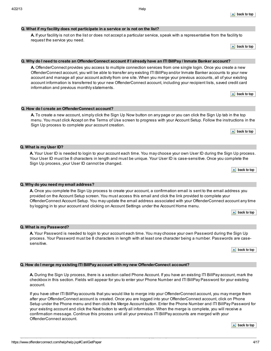# **Q. What if my facility does not participate in a service or is not on the list?**

#### **A.** If your facility is not on the list or does not accept a particular service, speak with a representative from the facility to request the service you need.

 $\triangle$  back to top

 $\blacktriangle$  back to top

### Q. Why do I need to create an OffenderConnect account if I already have an ITI BillPay / Inmate Banker account?

**A.** OffenderConnect provides you access to multiple connection services from one single login. Once you create a new OffenderConnect account, you will be able to transfer any existing ITI BillPay and/or Inmate Banker accounts to your new account and manage all your account activity from one site. When you merge your previous accounts, all of your existing account information is transferred to your new OffenderConnect account, including your recipient lists, saved credit card information and previous monthly statements.

| $\triangle$ back to top |  |
|-------------------------|--|
|-------------------------|--|

 $\blacktriangle$  back to top

**Q. How do I create an OffenderConnect account?**

**A.** To create a new account, simply click the Sign Up Now button on any page or you can click the Sign Up tab in the top menu. You must click Accept on the Terms of Use screen to progress with your Account Setup. Follow the instructions in the Sign Up process to complete your account creation.

#### **Q. What is my User ID?**

**A.** Your User ID is needed to login to your account each time. You may choose your own User ID during the Sign Up process. Your User ID must be 8 characters in length and must be unique. Your User ID is case-sensitive. Once you complete the Sign Up process, your User ID cannot be changed.

#### **Q. Why do you need my email address?**

**A.** Once you complete the Sign Up process to create your account, a confirmation email is sent to the email address you provided on the Account Setup screen. You must access this email and click the link provided to complete your OffenderConnect Account Setup. You may update the email address associated with your OffenderConnect account any time by logging in to your account and clicking on Account Settings under the Account Home menu.

|  | . |  |
|--|---|--|
|  |   |  |

#### **Q. What is my Password?**

**A.** Your Password is needed to login to your account each time. You may choose your own Password during the Sign Up process. Your Password must be 8 characters in length with at least one character being a number. Passwords are casesensitive.

 $\triangle$  back to top

#### **Q. How do I merge my existing ITI BillPay account with my new OffenderConnect account?**

**A.** During the Sign Up process, there is a section called Phone Account. If you have an existing ITI BillPay account, mark the checkbox in this section. Fields will appear for you to enter your Phone Number and ITI BillPayPassword for your existing account.

If you have other ITI BillPay accounts that you would like to merge into your OffenderConnect account, you may merge them after your OffenderConnect account is created. Once you are logged into your OffenderConnect account, click on Phone Setup under the Phone menu and then click the Merge Account button. Enter the Phone Number and ITI BillPay Password for your existing account and click the Next button to verify all information. When the merge is complete, you will receive a confirmation message. Continue this process until all your previous ITI BillPay accounts are merged with your OffenderConnect account.

 $\triangle$  back to top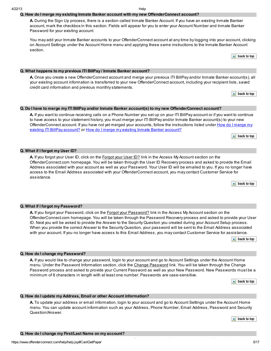**Q. How do I change my First/Last Name on my account?**

# 4/22/13 Help

# **Q. How do I merge my existing Inmate Banker account with my new OffenderConnect account?**

**A.** During the Sign Up process, there is a section called Inmate Banker Account. If you have an existing Inmate Banker account, mark the checkbox in this section. Fields will appear for you to enter your Account Number and Inmate Banker Password for your existing account.

You may add your Inmate Banker accounts to your OffenderConnect account at any time by logging into your account, clicking on Account Settings under the Account Home menu and applying these same instructions to the Inmate Banker Account section.

 $\triangle$  back to top

### **Q. What happens to my previous ITI BillPay / Inmate Banker account?**

**A.** Once you create a new OffenderConnect account and merge your previous ITI BillPay and/or Inmate Banker account(s), all your existing account information is transferred to your new OffenderConnect account, including your recipient lists, saved credit card information and previous monthly statements.

 $\blacktriangle$  back to top

### Q. Do I have to merge my ITI BillPay and/or Inmate Banker account(s) to my new OffenderConnect account?

**A.** If you want to continue receiving calls on a Phone Number you set up on your ITI BillPay account or if you want to continue to have access to your statement history, you must merge your ITI BillPay and/or Inmate Banker account(s) to your new [OffenderConnect](https://www.offenderconnect.com/help/help.jsp#MergeExistingITI) account. If you have not yet merged your accounts, follow the instructions listed under How do I merge my existing ITI BillPay [account?](https://www.offenderconnect.com/help/help.jsp#MergeExistBanker) or How do I merge my existing Inmate Banker account?

 $\blacktriangle$  back to top

#### **Q. What if I forgot my User ID?**

**A.** If you forgot your User ID, click on the Forgot your User ID? link in the Access My Account section on the OffenderConnect.com homepage. You will be taken through the User ID Recovery process and asked to provide the Email Address associated with your account as well as your Password. Your User ID will be emailed to you. If you no longer have access to the Email Address associated with your OffenderConnect account, you may contact Customer Service for assistance.

 $\blacktriangle$  back to top

#### **Q. What if I forgot my Password?**

**A.** If you forgot your Password, click on the Forgot your Password? link in the Access MyAccount section on the OffenderConnect.com homepage. You will be taken through the Password Recovery process and asked to provide your User ID. Next you will be asked to provide the Answer to the Security Question you created during your Account Setup process. When you provide the correct Answer to the Security Question, your password will be sent to the Email Address associated with your account. If you no longer have access to this Email Address, you may contact Customer Service for assistance.

 $\triangle$  back to top

#### **Q. How do I change my Password?**

**A.** If you would like to change your password, login to your account and go to Account Settings under the Account Home menu. Under the Password Information section, click the Change Password link. You will be taken through the Change Password process and asked to provide your Current Password as well as your New Password. New Passwords must be a minimum of 8 characters in length with at least one number. Passwords are case-sensitive.

> back to top ᅀ

#### **Q. How do I update my Address, Email or other Account information?**

**A.** To update your address or email information, login to your account and go to Account Settings under the Account Home menu. You can update account information such as your Address, Phone Number, Email Address, Password and Security Question/Answer.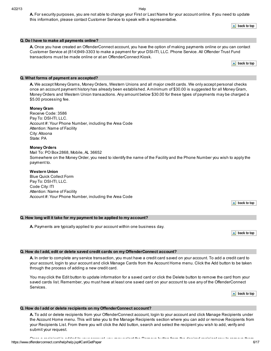**A.** For security purposes, you are not able to change your First or Last Name for your account online. If you need to update this information, please contact Customer Service to speak with a representative.

 $\triangle$  back to top

#### **Q. Do I have to make all payments online?**

**A.** Once you have created an OffenderConnect account, you have the option of making payments online or you can contact Customer Service at (814)949-3303 to make a payment for your DSI-ITI, LLC. Phone Service. All Offender Trust Fund transactions must be made online or at an OffenderConnect Kiosk.

 $\triangle$  back to top

#### **Q. What forms of payment are accepted?**

**A.** We accept Money Grams, Money Orders, Western Unions and all major credit cards. We only accept personal checks once an account payment history has already been established. A minimum of \$30.00 is suggested for all Money Gram, Money Orders and Western Union transactions. Any amount below \$30.00 for these types of payments may be charged a \$5.00 processing fee.

#### **Money Gram**

Receive Code: 3586 Pay To: DSI-ITI, LLC. Account #: Your Phone Number, including the Area Code Attention: Name of Facility City: Altoona State: PA

#### **Money Orders**

Mail To: PO Box 2868, Mobile, AL 36652 Somewhere on the Money Order, you need to identify the name of the Facility and the Phone Number you wish to apply the payment to.

# **Western Union**

Blue Quick Collect Form Pay To: DSI-ITI, LLC. Code City: ITI Attention: Name of Facility Account #: Your Phone Number, including the Area Code

 $\blacktriangle$  back to top

#### **Q. How long will it take for my payment to be applied to my account?**

**A.** Payments are typically applied to your account within one business day.

 $\blacktriangle$  back to top

#### **Q. How do I add, edit or delete saved credit cards on my OffenderConnect account?**

**A.** In order to complete any service transaction, you must have a credit card saved on your account. To add a credit card to your account, login to your account and click Manage Cards from the Account Home menu. Click the Add button to be taken through the process of adding a new credit card.

You may click the Edit button to update information for a saved card or click the Delete button to remove the card from your saved cards list. Remember, you must have at least one saved card on your account to use any of the OffenderConnect Services.

 $\triangle$  back to top

#### **Q. How do I add or delete recipients on my OffenderConnect account?**

**A.** To add or delete recipients from your OffenderConnect account, login to your account and click Manage Recipients under the Account Home menu. This will take you to the Manage Recipients section where you can add or remove Recipients from your Recipients List. From there you will click the Add button, search and select the recipient you wish to add, verify and submit your request.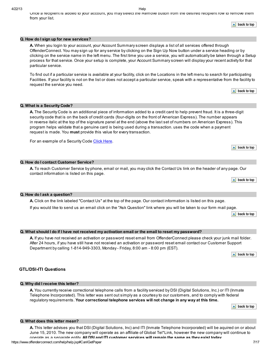Once a recipient is added to your account, you may select the Remove button from the desired recipient row to remove them from your list.

 $\blacktriangle$  back to top

#### **Q. How do I sign up for new services?**

**A.** When you login to your account, your Account Summary screen displays a list of all services offered through OffenderConnect. You may sign up for any service by clicking on the Sign Up Now button under a service heading or by clicking on the service name in the left menu. The first time you use a service, you will automatically be taken through a Setup process for that service. Once your setup is complete, your Account Summary screen will display your recent activity for that particular service.

To find out if a particular service is available at your facility, click on the Locations in the left menu to search for participating Facilities. If your facility is not on the list or does not accept a particular service, speak with a representative from the facility to request the service you need.

 $\blacktriangle$  back to top

#### **Q. What is a Security Code?**

**A.** The Security Code is an additional piece of information added to a credit card to help prevent fraud. It is a three-digit security code that is on the back of credit cards (four-digits on the front of American Express). The number appears in reverse italic at the top of the signature panel at the end (above the last set of numbers on American Express). This program helps validate that a genuine card is being used during a transaction. uses the code when a payment request is made. You **must** provide this value for every transaction.

For an example of a Security Code Click [Here.](https://www.offenderconnect.com/help/help_CVV%20Code.jsp)

#### **Q. How do I contact Customer Service?**

**A.** To reach Customer Service by phone, email or mail, you may click the Contact Us link on the header of any page. Our contact information is listed on this page.

|  | $\triangle$ back to top |  |  |  |
|--|-------------------------|--|--|--|
|--|-------------------------|--|--|--|

 $\blacktriangle$  back to top

#### **Q. How do I ask a question?**

**A.** Click on the link labeled "Contact Us" at the top of the page. Our contact information is listed on this page.

If you would like to send us an email click on the "Ask Question" link where you will be taken to our form mail page.

 $\blacktriangle$  back to top

#### Q. What should I do if I have not received my activation email or the email to reset my password?

**A.** If you have not received an activation or password reset email from OffenderConnect please check your junk mail folder. After 24 hours, if you have still have not received an activation or password reset email contact our Customer Support Department by calling 1-814-949-3303, Monday - Friday, 8:00 am - 8:00 pm (EST).

 $\blacktriangle$  back to top

## **GTL/DSI-ITI Questions**

#### **Q. Why did I receive this letter?**

**A.** You currently receive correctional telephone calls from a facility serviced by DSI (Digital Solutions, Inc.) or ITI (Inmate Telephone Incorporated). This letter was sent out simply as a courtesy to our customers, and to comply with federal regulatory requirements. **Your correctional telephone services will not change in any way at this time.**

 $\triangle$  back to top

#### **Q. What does this letter mean?**

**A.** This letter advises you that DSI (Digital Solutions, Inc) and ITI (Inmate Telephone Incorporated) will be aquired on or about June 15, 2010. The new company will operate as an affiliate of Global Tel\*Link, however the new company will continue to operate as a separate entity. **All DSI and ITI customer services will remain the same as they exist today**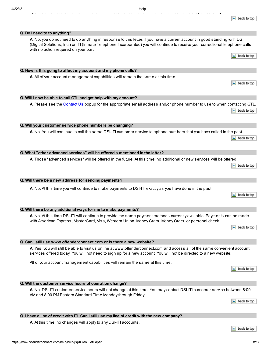**Q. Do I need to to anything?**

**A.** No, you do not need to do anything in response to this letter. If you have a current account in good standing with DSI (Digital Solutions, Inc.) or ITI (Inmate Telephone Incorporated) you will continue to receive your correctional telephone calls with no action required on your part.

**Q. How is this going to affect my account and my phone calls? A.** All of your account management capabilities will remain the same at this time.

**Q. Will I now be able to call GTL and get help with my account? A.** Please see the [Contact](https://www.offenderconnect.com/learnmore/ContactUs.jsp) Us popup for the appropriate email address and/or phone number to use to when contacting GTL.  $\triangle$  back to top

**Q. Will your customer service phone numbers be changing? A.** No. You will continue to call the same DSI-ITI customer service telephone numbers that you have called in the past.

**Q. What "other advanced services" will be offered s mentioned in the letter?**

**A.** Those "advanced services" will be offered in the future. At this time, no additional or new services will be offered.

# **Q. Will there be a new address for sending payments?**

**A.** No. At this time you will continue to make payments to DSI-ITI exactly as you have done in the past.

**Q. Will there be any additional ways for me to make payments?**

**A.** No. At this time DSI-ITI will continue to provide the same payment methods currently available. Payments can be made with American Express, MasterCard, Visa, Western Union, Money Gram, Money Order, or personal check.

**Q. Can I still use www.offenderconnect.com or is there a new website?**

**A.** Yes, you will still be able to visit us online at www.offenderconnect.com and access all of the same convenient account services offered today. You will not need to sign up for a new account. You will not be directed to a new website.

All of your account management capabilities will remain the same at this time.

Q. I have a line of credit with ITI. Can I still use my line of credit with the new company?

**Q. Will the customer service hours of operation change?**

**A.** At this time, no changes will apply to any DSI-ITI accounts.

**A.** No. DSI-ITI customer service hours will not change at this time. You may contact DSI-ITI customer service between 8:00 AM and 8:00 PM Eastern Standard Time Monday through Friday.

 $\triangle$  back to top

 $\blacktriangle$  back to top

 $\blacktriangle$  back to top



 $\blacktriangle$  back to top

 $\triangle$  back to top

 $\triangle$  back to top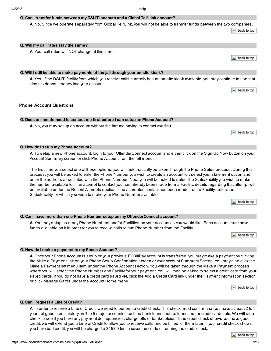# **Q. Can I transfer funds between my DSI-ITI accoutn and a Global Tel\*Link account?**

**A.** No. Since we operate separately from Global Tel\*Link, you will not be able to transfer funds between the two companies.

 $\blacktriangle$  back to top

#### **Q. Will my call rates stay the same?**

**A.** Your call rates will NOT change at this time.

 $\blacktriangle$  back to top

 $\blacktriangle$  back to top

#### **Q. Will I still be able to make payments at the jail through your on-site kiosk?**

**A.** Yes, if the DSI-ITI facility from which you receive calls currently has an on-site kiosk available, you may continue to use that kiosk to deposit money into your account.

### **Phone Account Questions**

#### **Q. Does an inmate need to contact me first before I can setup an Phone Account?**

**A.** No, you may set up an account without the inmate having to contact you first.

 $\blacktriangle$  back to top

#### **Q. How do I setup my Phone Account?**

**A.** To setup a new Phone account, login to your OffenderConnect account and either click on the Sign Up Now button on your Account Summary screen or click Phone Account from the left menu.

The first time you select one of these options, you will automatically be taken through the Phone Setup process. During this process, you will be asked to enter the Phone Number you wish to create an account for, select your statement option and enter the address associated with the Phone Number. Next, you will be asked to select the State/Facility you wish to make the number available to. If an attempt to contact you has already been made from a Facility, details regarding that attempt will be available under the Recent Attempts section. If no attempted contact has been made from a Facility, select the State/Facility for which you wish to make your Phone Number available.

 $\blacktriangle$  back to top

#### **Q. Can I have more than one Phone Number setup on my OffenderConnect account?**

**A.** You may setup as manyPhone Numbers and/or Facilities on your account as you would like. Each account must have funds available on it in order for you to receive calls to that Phone Number from the Facility.

 $\triangle$  back to top

#### **Q. How do I make a payment to my Phone Account?**

**A.** Once your Phone account is setup or your previous ITI BillPay account is transferred, you may make a payment by clicking the Make a Payment link on your Phone Setup Confirmation screen or your Account Summary Screen. You may also click the Make a Payment left menu item under the Phone Account section. You will be taken through the Make a Payment process where you will select the Phone Number and Facility for your payment. You will then be asked to select a credit card from your saved cards. If you do not have a credit card saved yet, click the Add a Credit Card link under the Payment Information section or click Manage Cards under the Account Home menu.

 $\triangle$  back to top

#### **Q. Can I request a Line of Credit?**

**A.** In order to receive a Line of Credit, we need to perform a credit check. This check must confirm that you have at least 2 to 3 years of good credit history on 4 to 5 major accounts, such as bank loans, house loans, major credit cards, etc. We will also check to see if you have any payment delinquencies, charge offs or bankruptcies. If the credit check shows you have good credit, we will extend you a Line of Credit to allow you to receive calls and be billed for them later. If your credit check shows you have bad credit, you will be charged a \$15.00 fee to cover the costs of running the credit check.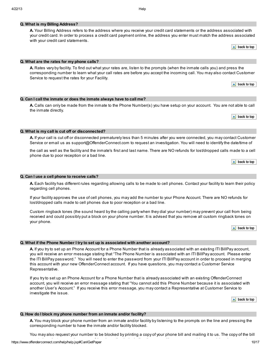**A.** Your Billing Address refers to the address where you receive your credit card statements or the address associated with your credit card. In order to process a credit card payment online, the address you enter must match the address associated with your credit card statements.

 $\triangle$  back to top

# **Q. What are the rates for my phone calls?**

**A.** Rates vary by facility. To find out what your rates are, listen to the prompts (when the inmate calls you) and press the corresponding number to learn what your call rates are before you accept the incoming call. You may also contact Customer Service to request the rates for your Facility.

 $\blacktriangle$  back to top

**Q. Can I call the inmate or does the inmate always have to call me?**

**A.** Calls can only be made from the inmate to the Phone Number(s) you have setup on your account. You are not able to call the inmate directly.

 $\triangle$  back to top

#### **Q. What is my call is cut off or disconnected?**

**A.** If your call is cut off or disconnected prematurely less than 5 minutes after you were connected, you may contact Customer Service or email us as support@OffenderConnect.com to request an investigation. You will need to identify the date/time of

the call as well as the facility and the inmate's first and last name. There are NO refunds for lost/dropped calls made to a cell phone due to poor reception or a bad line.

 $\triangle$  back to top

### **Q. Can I use a cell phone to receive calls?**

**A.** Each facility has different rules regarding allowing calls to be made to cell phones. Contact your facility to learn their policy regarding cell phones.

If your facility approves the use of cell phones, you may add the number to your Phone Account. There are NO refunds for lost/dropped calls made to cell phones due to poor reception or a bad line.

Custom ringback tones (the sound heard by the calling party when they dial your number) may prevent your call from being received and could possibly put a block on your phone number. It is advised that you remove all custom ringback tones on your phone.

 $\triangle$  back to top

#### **Q. What if the Phone Number I try to set up is associated with another account?**

**A.** If you try to set up an Phone Account for a Phone Number that is already associated with an existing ITI BillPay account, you will receive an error message stating that "The Phone Number is associated with an ITI BillPay account. Please enter the ITI BillPay password." You will need to enter the password from your ITI BillPay account in order to proceed in merging this account with your new OffenderConnect account. If you have questions, you may contact a Customer Service Representative.

If you try to set up an Phone Account for a Phone Number that is already associated with an existing OffenderConnect account, you will receive an error message stating that "You cannot add this Phone Number because it is associated with another User's Account." If you receive this error message, you may contact a Representative at Customer Service to investigate the issue.

 $\triangle$  back to top

#### **Q. How do I block my phone number from an inmate and/or facility?**

**A.** You may block your phone number from an inmate and/or facility by listening to the prompts on the line and pressing the corresponding number to have the inmate and/or facility blocked.

must show that you are the owner of the phone line by including the page with the page with your name, and the phone of the phone including the phone line by including the phone of the phone number. The phone number of the You may also request your number to be blocked by printing a copy of your phone bill and mailing it to us. The copy of the bill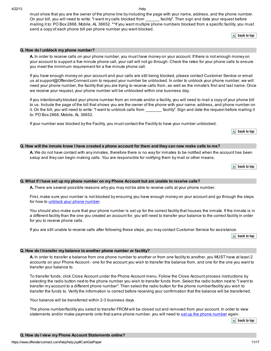**Q. How do I unblock my phone number?**

to: PO Box 2868, Mobile, AL 36652.

you meet the minimum requirement for a five minute phone call.

must show that you are the owner of the phone line by including the page with your name, address, and the phone number. On your bill, you will need to write: "I want my calls blocked from \_\_\_\_\_\_\_ facility". Then sign and date your request before mailing it to: PO Box 2868, Mobile, AL 36652. \*\*If you want multiple phone numbers blocked from a specific facility, you must send a copy of each phone bill per phone number you want blocked.

**A.** In order to receive calls on your phone number, you must have money on your account. If there is not enough money on your account to support a five minute phone call, your call will not go through. Check the rates for your phone calls to ensure

If you have enough money on your account and your calls are still being blocked, please contact Customer Service or email us at support@OffenderConnect.com to request your number be unblocked. In order to unblock your phone number, we will need your phone number, the facility that you are trying to receive calls from, as well as the inmate's first and last name. Once

If you intentionally blocked your phone number from an inmate and/or a facility, you will need to mail a copy of your phone bill to us. Include the page of the bill that shows you are the owner of the phone with your name, address, and phone number on it. On the bill, you will need to write: "I want to unblock calls from facility". Sign and date the request before mailing it

 $\blacktriangle$  back to top

transfer your balance to.

The phone number/facility you select to transfer FROM will be closed out and removed from your account. In order to view statements and/or make payments onto that same phone [number](https://www.offenderconnect.com/help/help.jsp#SetupITIPhone), you will need to set up the phone number again.

 $\triangle$  back to top

**Q. How do I transfer my balance to another phone number or facility?**

 $\blacktriangle$  back to top

#### Q. How will the inmate know I have created a phone account for them and they can now make calls to me?

If your number was blocked by the Facility, you must contact the Facility to have your number unblocked.

**A.** We do not have contact with any inmates, therefore there is no way for inmates to be notified when the account has been setup and they can begin making calls. You are responsible for notifying them by mail or other means.

 $\triangle$  back to top

#### Q. What if I have set up my phone number on my Phone Account but am unable to receive calls?

we receive your request, your phone number will be unblocked within one business day.

**A.** There are several possible reasons why you may not be able to receive calls at your phone number.

First, make sure your number is not blocked by ensuring you have enough money on your account and go through the steps for how to unblock your phone [number](https://www.offenderconnect.com/help/help.jsp#UnblockCalls).

You should also make sure that your phone number is set up for the correct facility that houses the inmate. If the inmate is in a different facility than the one you created an account for, you will need to transfer your balance to the correct facility in order for you to receive phone calls.

**A.** In order to transfer a balance from one phone number to another or from one facility to another, you MUST have at least 2 accounts on your Phone Account - one for the account you wish to transfer the balance from, and one for the one you want to

To transfer funds, click Close Account under the Phone Account menu. Follow the Close Account process instructions by selecting the radio button next to the phone number you wish to transfer funds from. Select the radio button next to "I want to transfer my account to a different phone number". Then select the radio button for the phone number/facility you wish to transfer the funds to. Verify the information is correct before receiving your confirmation that the balance will be transferred.

If you are still unable to receive calls after following these steps, you may contact Customer Service for assistance.

 $\triangle$  back to top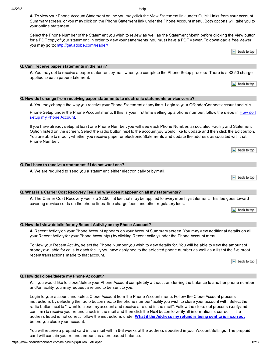A. To view your Phone Account Statement online you may click the View Statement link under Quick Links from your Account Summary screen, or you may click on the Phone Statement link under the Phone Account menu. Both options will take you to your online statement.

Select the Phone Number of the Statement you wish to review as well as the Statement Month before clicking the View button for a PDF copy of your statement. In order to view your statements, you must have a PDF viewer. To download a free viewer you may go to: [http://get.adobe.com/reader/](https://www.offenderconnect.com/help/help.jsp#)

 $\triangle$  back to top

#### **Q. Can I receive paper statements in the mail?**

**A.** You may opt to receive a paper statement by mail when you complete the Phone Setup process. There is a \$2.50 charge applied to each paper statement.

 $\blacktriangle$  back to top

 $\triangle$  back to top

 $\triangle$  back to top

 $\blacktriangle$  back to top

### **Q. How do I change from receiving paper statements to electronic statements or vice versa?**

**A.** You may change the way you receive your Phone Statement at any time. Login to your OffenderConnect account and click

Phone Setup under the Phone Account menu. If this is your first time setting up a phone [number,](https://www.offenderconnect.com/help/help.jsp#SetupITIPhone) follow the steps in How do I setup my Phone Account.

If you have already setup at least one Phone Number, you will see each Phone Number, associated Facility and Statement Option listed on the screen. Select the radio button next to the account you would like to update and then click the Edit button. You are able to modify whether you receive paper or electronic Statements and update the address associated with that Phone Number.

| Q. Do I have to receive a statement if I do not want one? |  |  |   |  |  |
|-----------------------------------------------------------|--|--|---|--|--|
|                                                           |  |  | . |  |  |

**A.** We are required to send you a statement, either electronically or by mail.

#### **Q. What is a Carrier Cost Recovery Fee and why does it appear on all my statements?**

**A.** The Carrier Cost Recovery Fee is a \$2.50 flat fee that may be applied to every monthly statement. This fee goes toward covering service costs on the phone lines, line charge fees, and other regulatory fees.

| Q. How do I view details for my Recent Activity on my Phone Account? |  |
|----------------------------------------------------------------------|--|

**A.** Recent Activity on your Phone Account appears on your Account Summary screen. You may view additional details on all your Recent Activity for your Phone Account(s) by clicking Recent Activity under the Phone Account menu.

To view your Recent Activity, select the Phone Number you wish to view details for. You will be able to view the amount of money available for calls to each facility you have assigned to the selected phone number as well as a list of the five most recent transactions made to that account.

 $\triangle$  back to top

# **Q. How do I close/delete my Phone Account?**

**A.** If you would like to close/delete your Phone Account completely without transferring the balance to another phone number and/or facility, you may request a refund to be sent to you.

Login to your account and select Close Account from the Phone Account menu. Follow the Close Account process instructions by selecting the radio button next to the phone number/facility you wish to close your account with. Select the radio button next to "I want to close my account and receive a refund in the mail". Follow the close out process (verify and confirm) to receive your refund check in the mail and then click the Next button to verify all information is correct. If the address listed is not correct, follow the instructions under **What if the Address my refund is being sent to is [incorrect](https://www.offenderconnect.com/help/help.jsp#AddressWrong)** before you close your account.

You will receive a prepaid card in the mail within 6-8 weeks at the address specified in your Account Settings. The prepaid card will contain your refund amount as a preloaded balance.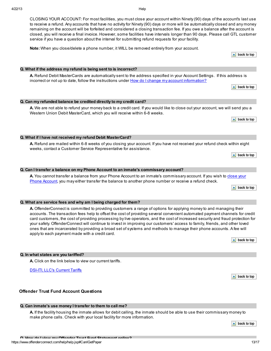CLOSING YOUR ACCOUNT: For most facilities, you must close your account within Ninety (90) days of the account's last use to receive a refund. Any accounts that have no activity for Ninety (90) days or more will be automatically closed and any money remaining on the account will be forfeited and considered a closing transaction fee. If you owe a balance after the account is closed, you will receive a final invoice. However, some facilities have intervals longer than 90 days. Please call GTL customer service if you have a question about the interval for submitting refund requests for your facility.

**Note:** When you close/delete a phone number, it WILL be removed entirely from your account.

 $\triangle$  back to top

# **Q. What if the address my refund is being sent to is incorrect?**

**Q. Can my refunded balance be credited directly to my credit card?**

Western Union Debit MasterCard, which you will receive within 6-8 weeks.

# **A.** Refund Debit MasterCards are automatically sent to the address specified in your Account Settings. If this address is incorrect or not up to date, follow the instructions under How do I change my account [information?](https://www.offenderconnect.com/help/help.jsp#ChangeAccountInfo)

**A.** We are not able to refund your money back to a credit card. If you would like to close out your account, we will send you a

 $\triangle$  back to top

 $\blacktriangle$  back to top

**Q. What if I have not received my refund Debit MasterCard?**

**A.** Refund are mailed within 6-8 weeks of you closing your account. If you have not received your refund check within eight weeks, contact a Customer Service Representative for assistance.

# **Q. Can I transfer a balance on my Phone Account to an inmate's commissary account?**

**A.** You cannot transfer a balance from your Phone Account to an inmate's [commissary](https://www.offenderconnect.com/help/help.jsp#CloseAccount) account. If you wish to close your Phone Account, you may either transfer the balance to another phone number or receive a refund check.

 $\triangle$  back to top

 $\triangle$  back to top

# **Q. What are service fees and why am I being charged for them?**

**A.** OffenderConnect is committed to providing customers a range of options for applying money to and managing their accounts. The transaction fees help to offset the cost of providing several convenient automated payment channels for credit card customers, the cost of providing processing by live operators, and the cost of increased security and fraud protection for your safety. OffenderConnect will continue to invest in improving our customers' access to family, friends, and other loved ones that are incarcerated by providing a broad set of systems and methods to manage their phone accounts. A fee will apply to each payment made with a credit card.

 $\blacktriangle$  back to top

 $\triangle$  back to top

# **Q. In what states are you tariffed?**

**A.** Click on the link below to view our current tariffs.

DSI-ITI, LLC's [Current](http://www.dsiiti.com/products/tariffs.shtml) Tariffs

# **Offender Trust Fund Account Questions**

# **Q. Can inmate's use money I transfer to them to call me?**

**A.** If the facility housing the inmate allows for debit calling, the inmate should be able to use their commissary money to make phone calls. Check with your local facility for more information.

https://www.offenderconnect.com/help/help.jsp#CanIGetPaper 13/17 **Q. How do I view my Offender Trust Fund Statement online?**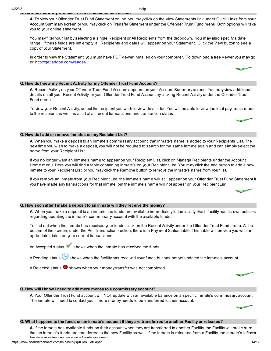#### 4/22/13 Help **Q. How do I view my Offender Trust Fund Statement online?**

**A.** To view your Offender Trust Fund Statement online, you may click on the View Statements link under Quick Links from your Account Summary screen or you may click on Transfer Statement under the Offender Trust Fund menu. Both options will take you to your online statement.

You may filter your list by selecting a single Recipient or All Recipients from the dropdown. You may also specify a date range. If these fields are left empty, all Recipients and dates will appear on your Statement. Click the View button to see a copy of your Statement.

In order to view the Statement, you must have PDF viewer installed on your computer. To download a free viewer you may go to: <http://get.adobe.com/reader/> .

### **Q. How do I view my Recent Activity for my Offender Trust Fund Account?**

**A.** Recent Activity on your Offender Trust Fund Account appears on your Account Summary screen. You may view additional details on all your Recent Activity for your Offender Trust Fund Account by clicking Recent Activity under the Offender Trust Fund menu.

To view your Recent Activity, select the recipient you wish to view details for. You will be able to view the total payments made to the recipient as well as a list of all recent transactions and transaction status.



#### **Q. How do I add or remove inmates on my Recipient List?**

**A.** When you make a deposit to an inmate's commissary account, that inmate's name is added to your Recipients List. The next time you wish to make a deposit, you will not be required to search for the same inmate again and can simply select the name from your Recipient List.

If you no longer want an inmate's name to appear on your Recipient List, click on Manage Recipients under the Account Home menu. Here you will find a table containing inmate's on your Recipient List. You may click the Add button to add a new inmate to your Recipient List, or you may click the Remove button to remove the inmate's name from your list.

If you remove an inmate from your Recipient List, the inmate's name will still appear on your Offender Trust Fund Statement if you have made any transactions for that inmate, but the inmate's name will not appear on your Recipient List.



#### **Q. How soon after I make a deposit to an inmate will they receive the money?**

**A.** When you make a deposit to an inmate, the funds are available immediately to the facility. Each facility has its own policies regarding updating the inmate's commissary account with the available funds.

To find out when the inmate has received your funds, click on the Recent Activity under the Offender Trust Fund menu. At the bottom of the screen, under the Per Transaction section, there is a Payment Status table. This table will provide you with an up-to-date status on your current transactions.

An Accepted status  $\blacktriangledown$  shows when the inmate has received the funds.

A Pending status  $\bf{C}$  shows when the facility has received your funds but has not yet updated the inmate's account.

A Rejected status  $\infty$  shows when your money transfer was not completed.

#### **Q. How will I know I need to add more money to a commissary account?**

**A.** Your Offender Trust Fund account will NOT update with an available balance on a specific inmate's commissary account. The inmate will need to contact you if more money needs to be transferred to their account.

#### Q. What happens to the funds on an inmate's account if they are transferred to another Facility or released?

**A.** If the inmate has available funds on their account when they are transferred to another Facility, the Facility will make sure that an inmate's funds are transferred to the new Facility as well. If the inmate is released from a Facility, the inmate's leftover funds are released as part of their property.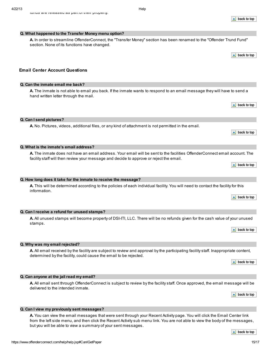funds are released as part of their property.

**Q. What happened to the Transfer Money menu option?**

**A.** In order to streamline OffenderConnect, the "Transfer Money" section has been renamed to the "Offender Trund Fund" section. None of its functions have changed.

 $\triangle$  back to top

 $\triangle$  back to top

 $\blacktriangle$  back to top

 $\triangle$  back to top

 $\blacktriangle$  back to top

 $\triangle$  back to top

**Email Center Account Questions**

# **Q. Can the inmate email me back?**

**A.** The inmate is not able to email you back. If the inmate wants to respond to an email message they will have to send a hand written letter through the mail.

**Q. Can I send pictures?**

**A.** No. Pictures, videos, additional files, or any kind of attachment is not permitted in the email.

#### **Q. What is the inmate's email address?**

**A.** The inmate does not have an email address. Your email will be sent to the facilities OffenderConnect email account. The facility staff will then review your message and decide to approve or reject the email.

#### **Q. How long does it take for the inmate to receive the message?**

**A.** This will be determined according to the policies of each individual facility. You will need to contact the facility for this information.

#### **Q. Can I receive a refund for unused stamps?**

**A.** All unused stamps will become property of DSI-ITI, LLC. There will be no refunds given for the cash value of your unused stamps.

**Q. Why was my email rejected?**

**A.** All email received by the facility are subject to review and approval by the participating facility staff. Inappropriate content, determined by the facility, could cause the email to be rejected.

**A.** All email sent through OffenderConnect is subject to review by the facility staff. Once approved, the email message will be

 $\triangle$  back to top

# $\triangle$  back to top

#### **Q. Can I view my previously sent messages?**

**Q. Can anyone at the jail read my email?**

delivered to the intended inmate.

**A.** You can view the email messages that were sent through your Recent Activity page. You will click the Email Center link from the left side menu, and then click the Recent Activity sub menu link. You are not able to view the body of the messages, but you will be able to view a summary of your sent messages.

 $\triangle$  back to top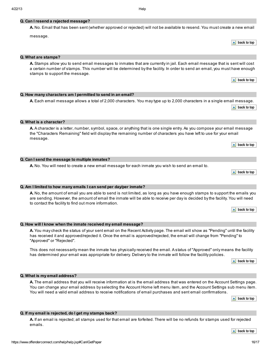# **Q. Can I resend a rejected message?**

# **A.** No. Email that has been sent (whether approved or rejected) will not be available to resend. You must create a new email

message.

#### **Q. What are stamps?**

**A.** Stamps allow you to send email messages to inmates that are currently in jail. Each email message that is sent will cost a certain number of stamps. This number will be determined by the facility. In order to send an email, you must have enough stamps to support the message.

**Q. How many characters am I permitted to send in an email?**

**A.** Each email message allows a total of 2,000 characters. You may type up to 2,000 characters in a single email message.  $\triangle$  back to top

**Q. What is a character?**

**A.** A character is a letter, number, symbol, space, or anything that is one single entry. As you compose your email message the "Characters Remaining" field will display the remaining number of characters you have left to use for your email message.

**Q. Can I send the message to multiple inmates?**

**A.** No. You will need to create a new email message for each inmate you wish to send an email to.

 $\triangle$  back to top

 $\triangle$  back to top

**Q. Am I limited to how many emails I can send per day/per inmate?**

**A.** No, the amount of email you are able to send is not limited, as long as you have enough stamps to support the emails you are sending. However, the amount of email the inmate will be able to receive per day is decided by the facility. You will need to contact the facility to find out more information.

**Q. How will I know when the inmate received my email message?**

**A.** You may check the status of your sent email on the Recent Activity page. The email will show as "Pending" until the facility has received it and approved/rejected it. Once the email is approved/rejected, the email will change from "Pending" to "Approved" or "Rejected".

This does not necessarily mean the inmate has physically received the email. A status of "Approved" only means the facility has determined your email was appropriate for delivery. Delivery to the inmate will follow the facility policies.

 $\blacktriangle$  back to top

#### **Q. What is my email address?**

**A.** The email address that you will receive information at is the email address that was entered on the Account Settings page. You can change your email address by selecting the Account Home left menu item, and the Account Settings sub menu item. You will need a valid email address to receive notifications of email purchases and sent email confirmations.

 $\triangle$  back to top

# **Q. If my email is rejected, do I get my stamps back?**

**A.** If an email is rejected; all stamps used for that email are forfeited. There will be no refunds for stamps used for rejected emails.

 $\blacktriangle$  back to top

 $\blacktriangle$  back to top